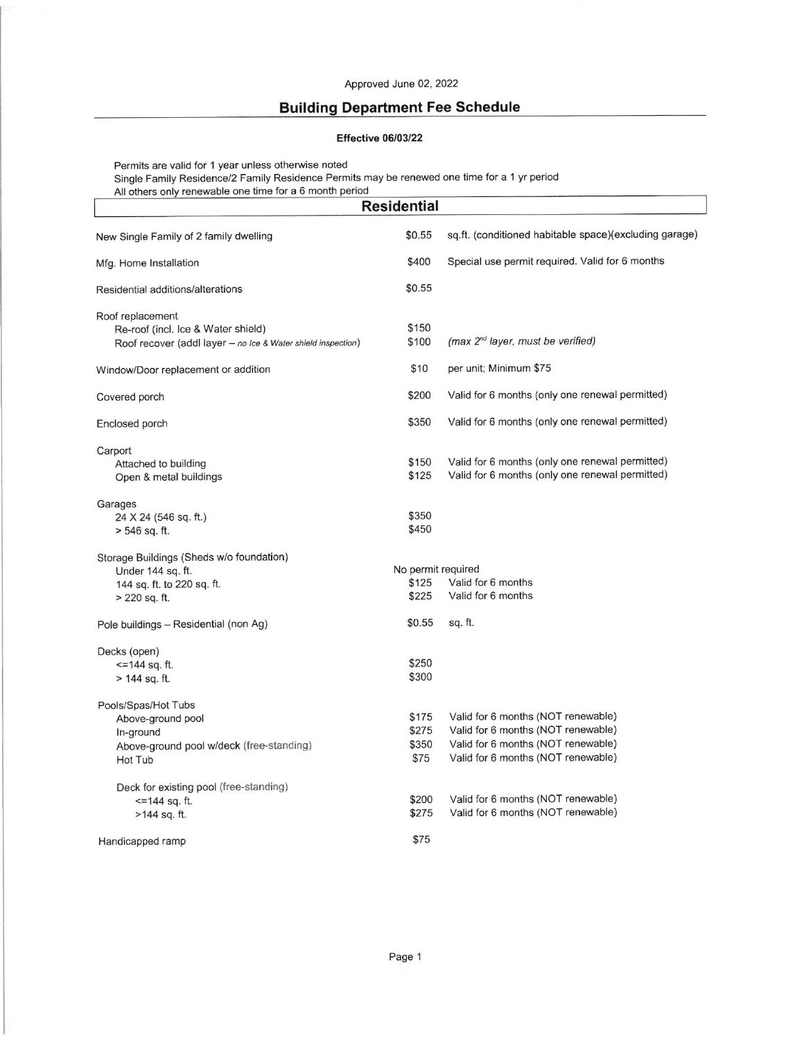## Approved June 02, 2022

## Building Department Fee Schedule

## Effective 06/03/22

Permits are valid for 1 year unless otherwise noted Single Family Residence/2 Family Residence Permits may be renewed one time for a 1 yr period

| All others only renewable one time for a 6 month period<br><b>Residential</b>                                          |                                      |                                                                                                                                                      |  |  |
|------------------------------------------------------------------------------------------------------------------------|--------------------------------------|------------------------------------------------------------------------------------------------------------------------------------------------------|--|--|
| New Single Family of 2 family dwelling                                                                                 | \$0.55                               | sq.ft. (conditioned habitable space)(excluding garage)                                                                                               |  |  |
| Mfg. Home Installation                                                                                                 | \$400                                | Special use permit required. Valid for 6 months                                                                                                      |  |  |
| Residential additions/alterations                                                                                      | \$0.55                               |                                                                                                                                                      |  |  |
| Roof replacement<br>Re-roof (incl. Ice & Water shield)<br>Roof recover (addl layer - no Ice & Water shield inspection) | \$150<br>\$100                       | $(max 2nd layer, must be verified)$                                                                                                                  |  |  |
| Window/Door replacement or addition                                                                                    | \$10                                 | per unit; Minimum \$75                                                                                                                               |  |  |
| Covered porch                                                                                                          | \$200                                | Valid for 6 months (only one renewal permitted)                                                                                                      |  |  |
| Enclosed porch                                                                                                         | \$350                                | Valid for 6 months (only one renewal permitted)                                                                                                      |  |  |
| Carport<br>Attached to building<br>Open & metal buildings                                                              | \$150<br>\$125                       | Valid for 6 months (only one renewal permitted)<br>Valid for 6 months (only one renewal permitted)                                                   |  |  |
| Garages<br>24 X 24 (546 sq. ft.)<br>$> 546$ sq. ft.                                                                    | \$350<br>\$450                       |                                                                                                                                                      |  |  |
| Storage Buildings (Sheds w/o foundation)<br>Under 144 sq. ft.<br>144 sq. ft. to 220 sq. ft.<br>$> 220$ sq. ft.         | No permit required<br>\$125<br>\$225 | Valid for 6 months<br>Valid for 6 months                                                                                                             |  |  |
| Pole buildings - Residential (non Ag)                                                                                  | \$0.55                               | sq. ft.                                                                                                                                              |  |  |
| Decks (open)<br>$\leq$ 144 sq. ft.<br>> 144 sq. ft.                                                                    | \$250<br>\$300                       |                                                                                                                                                      |  |  |
| Pools/Spas/Hot Tubs<br>Above-ground pool<br>In-ground<br>Above-ground pool w/deck (free-standing)<br>Hot Tub           | \$175<br>\$275<br>\$350<br>\$75      | Valid for 6 months (NOT renewable)<br>Valid for 6 months (NOT renewable)<br>Valid for 6 months (NOT renewable)<br>Valid for 6 months (NOT renewable) |  |  |
| Deck for existing pool (free-standing)<br>$=144$ sq. ft.<br>>144 sq. ft.                                               | \$200<br>\$275                       | Valid for 6 months (NOT renewable)<br>Valid for 6 months (NOT renewable)                                                                             |  |  |
| Handicapped ramp                                                                                                       | \$75                                 |                                                                                                                                                      |  |  |
|                                                                                                                        |                                      |                                                                                                                                                      |  |  |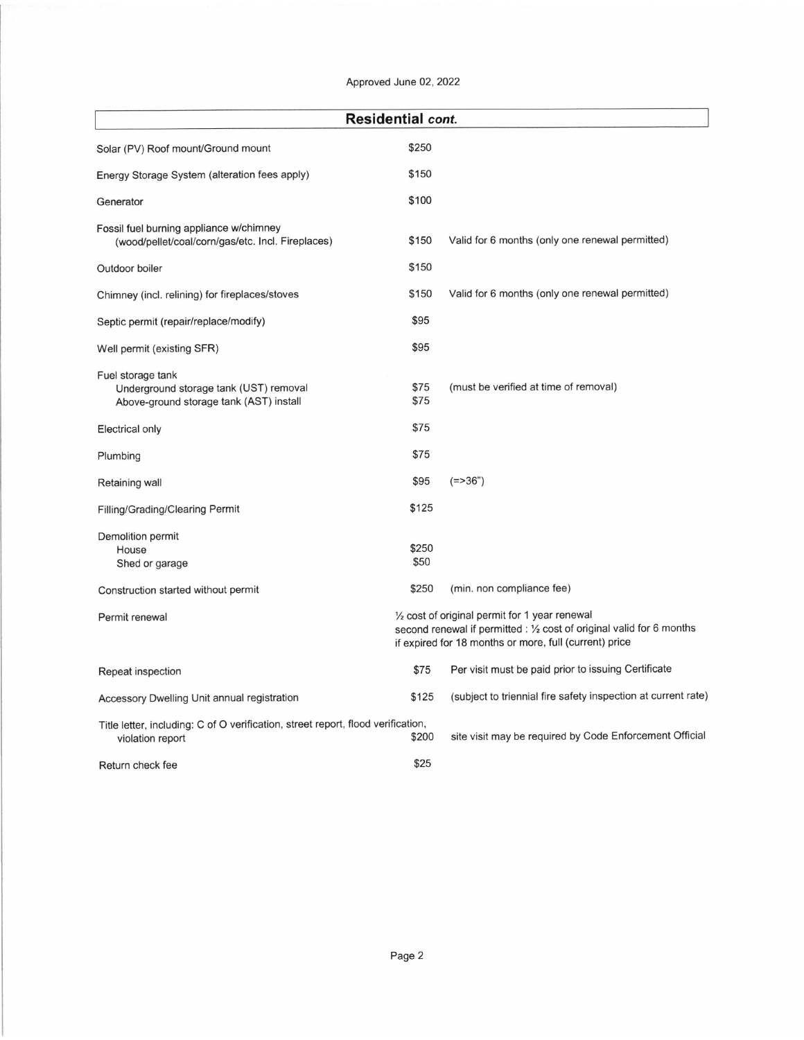Approved June 02, 2022

| <b>Residential cont.</b>                                                                               |               |                                                                                                                                                                                             |  |  |
|--------------------------------------------------------------------------------------------------------|---------------|---------------------------------------------------------------------------------------------------------------------------------------------------------------------------------------------|--|--|
| Solar (PV) Roof mount/Ground mount                                                                     | \$250         |                                                                                                                                                                                             |  |  |
| Energy Storage System (alteration fees apply)                                                          | \$150         |                                                                                                                                                                                             |  |  |
| Generator                                                                                              | \$100         |                                                                                                                                                                                             |  |  |
| Fossil fuel burning appliance w/chimney<br>(wood/pellet/coal/corn/gas/etc. Incl. Fireplaces)           | \$150         | Valid for 6 months (only one renewal permitted)                                                                                                                                             |  |  |
| Outdoor boiler                                                                                         | \$150         |                                                                                                                                                                                             |  |  |
| Chimney (incl. relining) for fireplaces/stoves                                                         | \$150         | Valid for 6 months (only one renewal permitted)                                                                                                                                             |  |  |
| Septic permit (repair/replace/modify)                                                                  | \$95          |                                                                                                                                                                                             |  |  |
| Well permit (existing SFR)                                                                             | \$95          |                                                                                                                                                                                             |  |  |
| Fuel storage tank<br>Underground storage tank (UST) removal<br>Above-ground storage tank (AST) install | \$75<br>\$75  | (must be verified at time of removal)                                                                                                                                                       |  |  |
| Electrical only                                                                                        | \$75          |                                                                                                                                                                                             |  |  |
| Plumbing                                                                                               | \$75          |                                                                                                                                                                                             |  |  |
| Retaining wall                                                                                         | \$95          | $(= > 36")$                                                                                                                                                                                 |  |  |
| <b>Filling/Grading/Clearing Permit</b>                                                                 | \$125         |                                                                                                                                                                                             |  |  |
| Demolition permit<br>House<br>Shed or garage                                                           | \$250<br>\$50 |                                                                                                                                                                                             |  |  |
| Construction started without permit                                                                    | \$250         | (min. non compliance fee)                                                                                                                                                                   |  |  |
| Permit renewal                                                                                         |               | $\frac{1}{2}$ cost of original permit for 1 year renewal<br>second renewal if permitted : 1/2 cost of original valid for 6 months<br>if expired for 18 months or more, full (current) price |  |  |
| Repeat inspection                                                                                      | \$75          | Per visit must be paid prior to issuing Certificate                                                                                                                                         |  |  |
| Accessory Dwelling Unit annual registration                                                            | \$125         | (subject to triennial fire safety inspection at current rate)                                                                                                                               |  |  |
| Title letter, including: C of O verification, street report, flood verification,<br>violation report   | \$200         | site visit may be required by Code Enforcement Official                                                                                                                                     |  |  |
| Return check fee                                                                                       | \$25          |                                                                                                                                                                                             |  |  |